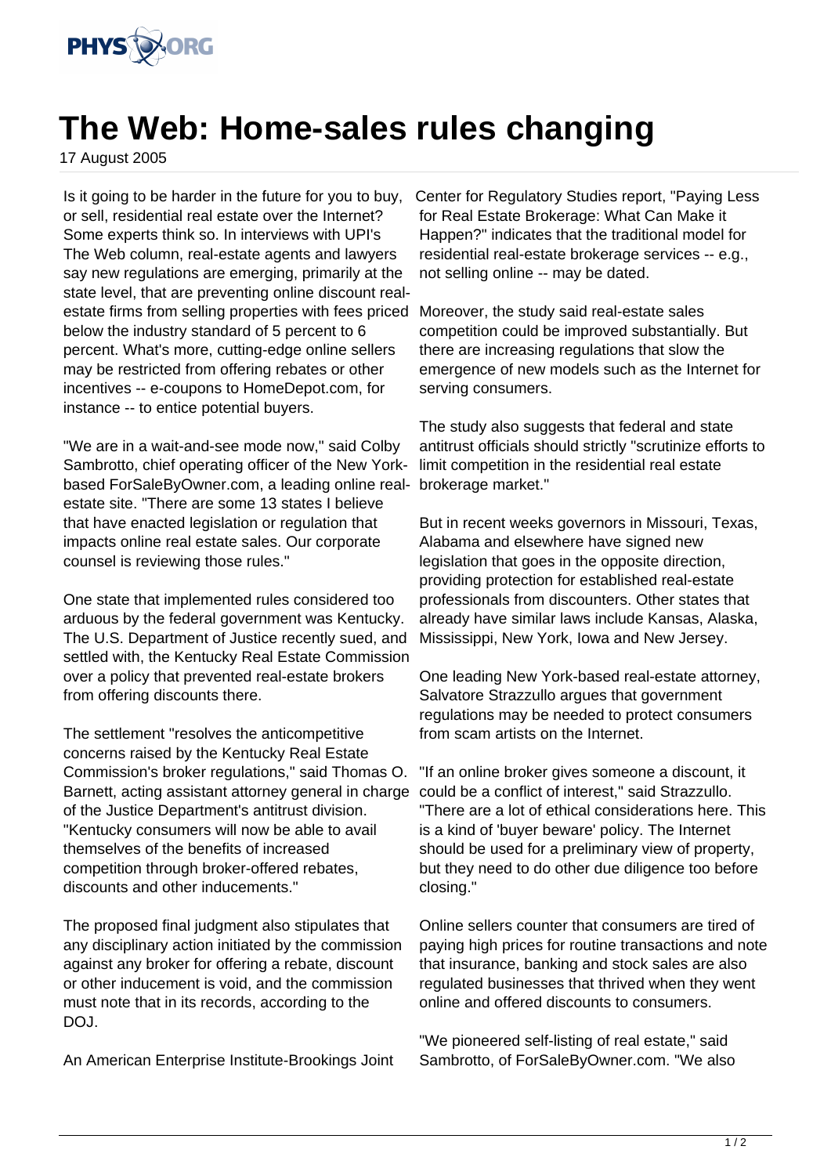

## **The Web: Home-sales rules changing**

17 August 2005

Is it going to be harder in the future for you to buy, or sell, residential real estate over the Internet? Some experts think so. In interviews with UPI's The Web column, real-estate agents and lawyers say new regulations are emerging, primarily at the state level, that are preventing online discount realestate firms from selling properties with fees priced below the industry standard of 5 percent to 6 percent. What's more, cutting-edge online sellers may be restricted from offering rebates or other incentives -- e-coupons to HomeDepot.com, for instance -- to entice potential buyers.

"We are in a wait-and-see mode now," said Colby Sambrotto, chief operating officer of the New Yorkbased ForSaleByOwner.com, a leading online realestate site. "There are some 13 states I believe that have enacted legislation or regulation that impacts online real estate sales. Our corporate counsel is reviewing those rules."

One state that implemented rules considered too arduous by the federal government was Kentucky. The U.S. Department of Justice recently sued, and settled with, the Kentucky Real Estate Commission over a policy that prevented real-estate brokers from offering discounts there.

The settlement "resolves the anticompetitive concerns raised by the Kentucky Real Estate Commission's broker regulations," said Thomas O. Barnett, acting assistant attorney general in charge of the Justice Department's antitrust division. "Kentucky consumers will now be able to avail themselves of the benefits of increased competition through broker-offered rebates, discounts and other inducements."

The proposed final judgment also stipulates that any disciplinary action initiated by the commission against any broker for offering a rebate, discount or other inducement is void, and the commission must note that in its records, according to the DOJ.

An American Enterprise Institute-Brookings Joint

Center for Regulatory Studies report, "Paying Less for Real Estate Brokerage: What Can Make it Happen?" indicates that the traditional model for residential real-estate brokerage services -- e.g., not selling online -- may be dated.

Moreover, the study said real-estate sales competition could be improved substantially. But there are increasing regulations that slow the emergence of new models such as the Internet for serving consumers.

The study also suggests that federal and state antitrust officials should strictly "scrutinize efforts to limit competition in the residential real estate brokerage market."

But in recent weeks governors in Missouri, Texas, Alabama and elsewhere have signed new legislation that goes in the opposite direction, providing protection for established real-estate professionals from discounters. Other states that already have similar laws include Kansas, Alaska, Mississippi, New York, Iowa and New Jersey.

One leading New York-based real-estate attorney, Salvatore Strazzullo argues that government regulations may be needed to protect consumers from scam artists on the Internet.

"If an online broker gives someone a discount, it could be a conflict of interest," said Strazzullo. "There are a lot of ethical considerations here. This is a kind of 'buyer beware' policy. The Internet should be used for a preliminary view of property, but they need to do other due diligence too before closing."

Online sellers counter that consumers are tired of paying high prices for routine transactions and note that insurance, banking and stock sales are also regulated businesses that thrived when they went online and offered discounts to consumers.

"We pioneered self-listing of real estate," said Sambrotto, of ForSaleByOwner.com. "We also